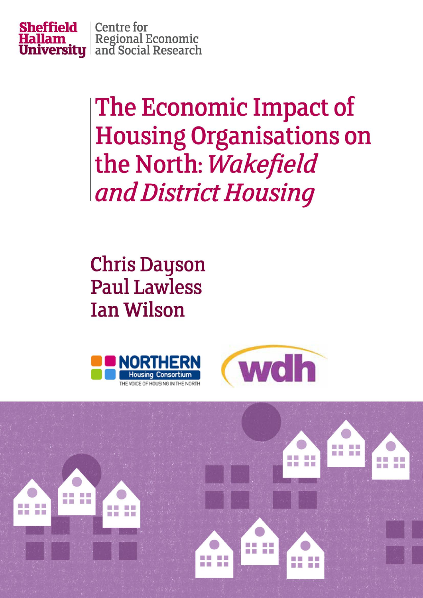

The Economic Impact of **Housing Organisations on** the North: Wakefield and District Housing

**Chris Dayson Paul Lawless Ian Wilson** 





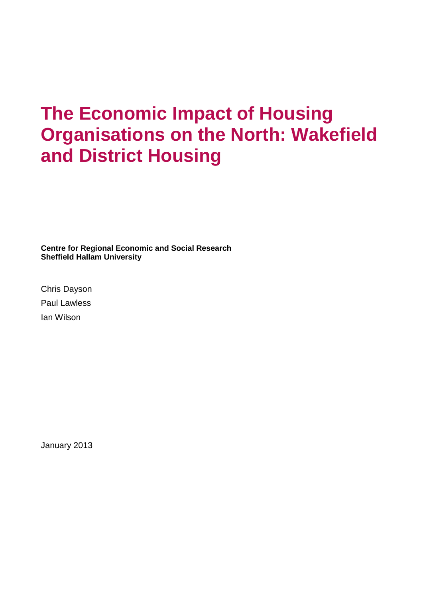## **The Economic Impact of Housing Organisations on the North: Wakefield and District Housing**

**Centre for Regional Economic and Social Research Sheffield Hallam University**

Chris Dayson Paul Lawless Ian Wilson

January 2013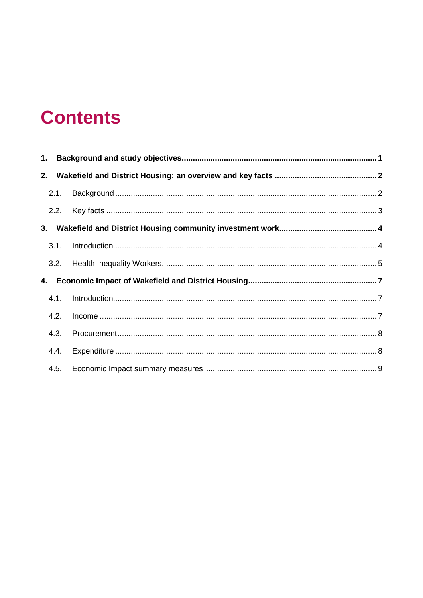## **Contents**

| 3.1. |  |
|------|--|
| 3.2. |  |
|      |  |
| 4.1. |  |
| 4.2. |  |
| 4.3. |  |
| 4.4. |  |
|      |  |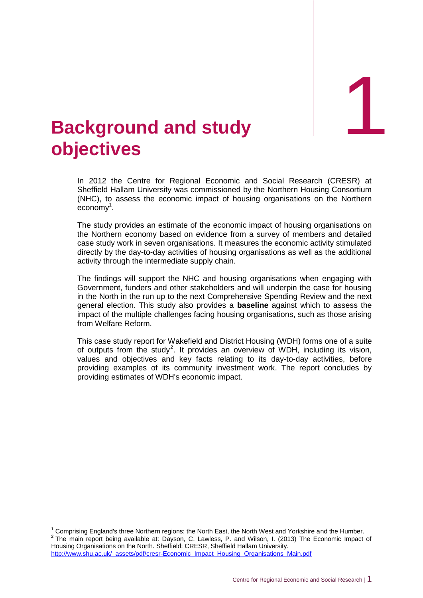**tudy** 1

## <span id="page-3-0"></span>1. **Background and s objectives**

In 2012 the Centre for Regional Economic and Social Research (CRESR) at Sheffield Hallam University was commissioned by the Northern Housing Consortium (NHC), to assess the economic impact of housing organisations on the Northern economy<sup>1</sup>.

The study provides an estimate of the economic impact of housing organisations on the Northern economy based on evidence from a survey of members and detailed case study work in seven organisations. It measures the economic activity stimulated directly by the day-to-day activities of housing organisations as well as the additional activity through the intermediate supply chain.

The findings will support the NHC and housing organisations when engaging with Government, funders and other stakeholders and will underpin the case for housing in the North in the run up to the next Comprehensive Spending Review and the next general election. This study also provides a **baseline** against which to assess the impact of the multiple challenges facing housing organisations, such as those arising from Welfare Reform.

This case study report for Wakefield and District Housing (WDH) forms one of a suite of outputs from the study<sup>2</sup>. It provides an overview of WDH, including its vision, values and objectives and key facts relating to its day-to-day activities, before providing examples of its community investment work. The report concludes by providing estimates of WDH's economic impact.

http://www.shu.ac.uk/\_assets/pdf/cresr-Economic\_Impact\_Housing\_Organisations\_Main.pdf

 $\overline{1}$ 

<sup>1</sup> Comprising England's three Northern regions: the North East, the North West and Yorkshire and the Humber.  $2$  The main report being available at: Dayson, C. Lawless, P. and Wilson, I. (2013) The Economic Impact of Housing Organisations on the North. Sheffield: CRESR, Sheffield Hallam University.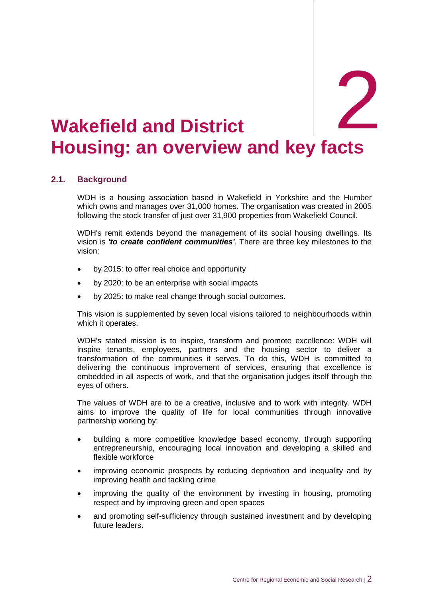# <span id="page-4-0"></span>**Wakefield and District Housing: an overview and key facts** d District **2008**

## <span id="page-4-1"></span>**2.1. Background**

WDH is a housing association based in Wakefield in Yorkshire and the Humber which owns and manages over 31,000 homes. The organisation was created in 2005 following the stock transfer of just over 31,900 properties from Wakefield Council.

WDH's remit extends beyond the management of its social housing dwellings. Its vision is *'to create confident communities'*. There are three key milestones to the vision:

- by 2015: to offer real choice and opportunity
- by 2020: to be an enterprise with social impacts
- by 2025: to make real change through social outcomes.

This vision is supplemented by seven local visions tailored to neighbourhoods within which it operates.

WDH's stated mission is to inspire, transform and promote excellence: WDH will inspire tenants, employees, partners and the housing sector to deliver a transformation of the communities it serves. To do this, WDH is committed to delivering the continuous improvement of services, ensuring that excellence is embedded in all aspects of work, and that the organisation judges itself through the eyes of others.

The values of WDH are to be a creative, inclusive and to work with integrity. WDH aims to improve the quality of life for local communities through innovative partnership working by:

- building a more competitive knowledge based economy, through supporting entrepreneurship, encouraging local innovation and developing a skilled and flexible workforce
- improving economic prospects by reducing deprivation and inequality and by improving health and tackling crime
- improving the quality of the environment by investing in housing, promoting respect and by improving green and open spaces
- and promoting self-sufficiency through sustained investment and by developing future leaders.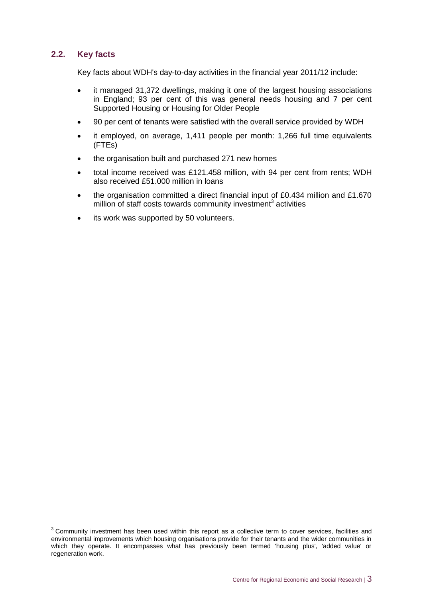## <span id="page-5-0"></span>**2.2. Key facts**

 $\overline{a}$ 

Key facts about WDH's day-to-day activities in the financial year 2011/12 include:

- it managed 31,372 dwellings, making it one of the largest housing associations in England; 93 per cent of this was general needs housing and 7 per cent Supported Housing or Housing for Older People
- 90 per cent of tenants were satisfied with the overall service provided by WDH
- it employed, on average, 1,411 people per month: 1,266 full time equivalents (FTEs)
- the organisation built and purchased 271 new homes
- total income received was £121.458 million, with 94 per cent from rents; WDH also received £51.000 million in loans
- the organisation committed a direct financial input of £0.434 million and £1.670 million of staff costs towards community investment<sup>3</sup> activities
- its work was supported by 50 volunteers.

 $3$  Community investment has been used within this report as a collective term to cover services, facilities and environmental improvements which housing organisations provide for their tenants and the wider communities in which they operate. It encompasses what has previously been termed 'housing plus', 'added value' or regeneration work.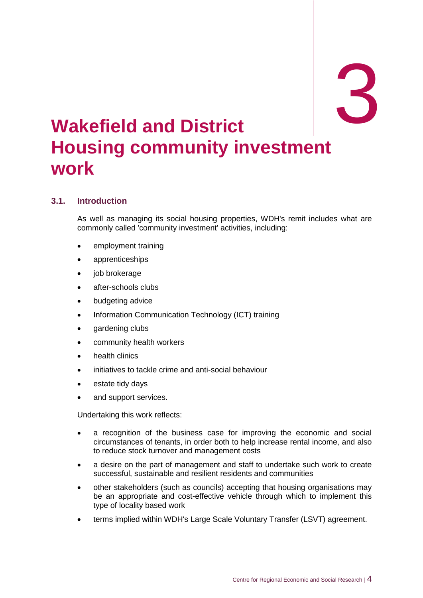# <span id="page-6-0"></span>**3. Wakefield and District Housing community investment work**

## <span id="page-6-1"></span>**3.1. Introduction**

As well as managing its social housing properties, WDH's remit includes what are commonly called 'community investment' activities, including:

- employment training
- apprenticeships
- job brokerage
- after-schools clubs
- budgeting advice
- Information Communication Technology (ICT) training
- gardening clubs
- community health workers
- health clinics
- initiatives to tackle crime and anti-social behaviour
- estate tidy days
- and support services.

Undertaking this work reflects:

- a recognition of the business case for improving the economic and social circumstances of tenants, in order both to help increase rental income, and also to reduce stock turnover and management costs
- a desire on the part of management and staff to undertake such work to create successful, sustainable and resilient residents and communities
- other stakeholders (such as councils) accepting that housing organisations may be an appropriate and cost-effective vehicle through which to implement this type of locality based work
- terms implied within WDH's Large Scale Voluntary Transfer (LSVT) agreement.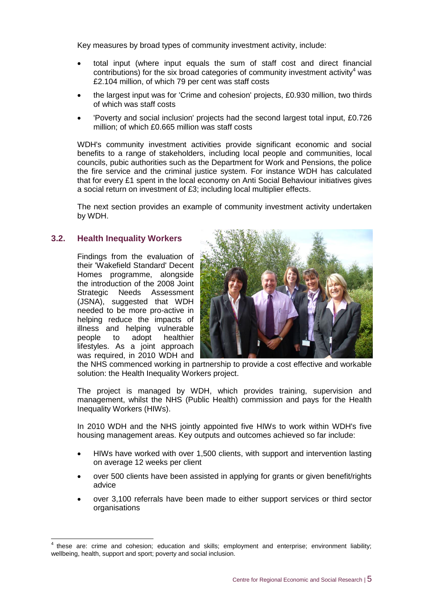Key measures by broad types of community investment activity, include:

- total input (where input equals the sum of staff cost and direct financial contributions) for the six broad categories of community investment activity<sup>4</sup> was £2.104 million, of which 79 per cent was staff costs
- the largest input was for 'Crime and cohesion' projects, £0.930 million, two thirds of which was staff costs
- 'Poverty and social inclusion' projects had the second largest total input, £0.726 million; of which £0.665 million was staff costs

WDH's community investment activities provide significant economic and social benefits to a range of stakeholders, including local people and communities, local councils, pubic authorities such as the Department for Work and Pensions, the police the fire service and the criminal justice system. For instance WDH has calculated that for every £1 spent in the local economy on Anti Social Behaviour initiatives gives a social return on investment of £3; including local multiplier effects.

The next section provides an example of community investment activity undertaken by WDH.

## <span id="page-7-0"></span>**3.2. Health Inequality Workers**

Findings from the evaluation of their 'Wakefield Standard' Decent Homes programme, alongside the introduction of the 2008 Joint Strategic Needs Assessment (JSNA), suggested that WDH needed to be more pro-active in helping reduce the impacts of illness and helping vulnerable people to adopt healthier lifestyles. As a joint approach was required, in 2010 WDH and



the NHS commenced working in partnership to provide a cost effective and workable solution: the Health Inequality Workers project.

The project is managed by WDH, which provides training, supervision and management, whilst the NHS (Public Health) commission and pays for the Health Inequality Workers (HIWs).

In 2010 WDH and the NHS jointly appointed five HIWs to work within WDH's five housing management areas. Key outputs and outcomes achieved so far include:

- HIWs have worked with over 1,500 clients, with support and intervention lasting on average 12 weeks per client
- over 500 clients have been assisted in applying for grants or given benefit/rights advice
- over 3,100 referrals have been made to either support services or third sector organisations

<sup>-</sup>4 these are: crime and cohesion; education and skills; employment and enterprise; environment liability; wellbeing, health, support and sport; poverty and social inclusion.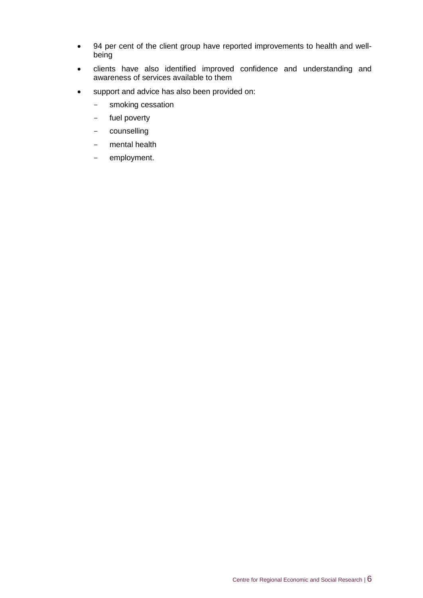- 94 per cent of the client group have reported improvements to health and wellbeing
- clients have also identified improved confidence and understanding and awareness of services available to them
- support and advice has also been provided on:
	- smoking cessation
	- fuel poverty
	- counselling
	- mental health
	- employment.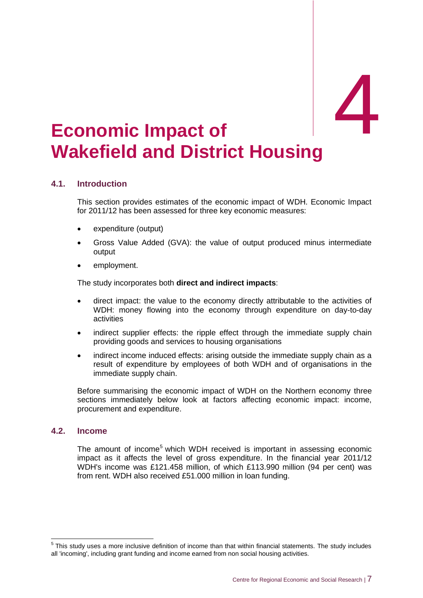# <span id="page-9-0"></span>Economic Impact of **Wakefield and District Housing**

## <span id="page-9-1"></span>**4.1. Introduction**

This section provides estimates of the economic impact of WDH. Economic Impact for 2011/12 has been assessed for three key economic measures:

- expenditure (output)
- Gross Value Added (GVA): the value of output produced minus intermediate output
- employment.

The study incorporates both **direct and indirect impacts**:

- direct impact: the value to the economy directly attributable to the activities of WDH: money flowing into the economy through expenditure on day-to-day activities
- indirect supplier effects: the ripple effect through the immediate supply chain providing goods and services to housing organisations
- indirect income induced effects: arising outside the immediate supply chain as a result of expenditure by employees of both WDH and of organisations in the immediate supply chain.

Before summarising the economic impact of WDH on the Northern economy three sections immediately below look at factors affecting economic impact: income, procurement and expenditure.

## <span id="page-9-2"></span>**4.2. Income**

The amount of income<sup>5</sup> which WDH received is important in assessing economic impact as it affects the level of gross expenditure. In the financial year 2011/12 WDH's income was £121.458 million, of which £113.990 million (94 per cent) was from rent. WDH also received £51.000 million in loan funding.

 5 This study uses a more inclusive definition of income than that within financial statements. The study includes all 'incoming', including grant funding and income earned from non social housing activities.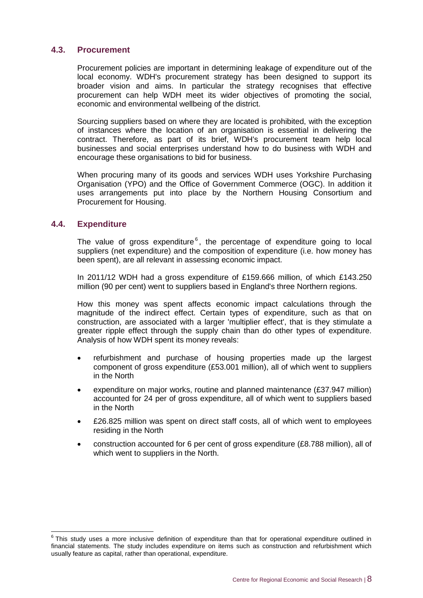## <span id="page-10-0"></span>**4.3. Procurement**

Procurement policies are important in determining leakage of expenditure out of the local economy. WDH's procurement strategy has been designed to support its broader vision and aims. In particular the strategy recognises that effective procurement can help WDH meet its wider objectives of promoting the social, economic and environmental wellbeing of the district.

Sourcing suppliers based on where they are located is prohibited, with the exception of instances where the location of an organisation is essential in delivering the contract. Therefore, as part of its brief, WDH's procurement team help local businesses and social enterprises understand how to do business with WDH and encourage these organisations to bid for business.

When procuring many of its goods and services WDH uses Yorkshire Purchasing Organisation (YPO) and the Office of Government Commerce (OGC). In addition it uses arrangements put into place by the Northern Housing Consortium and Procurement for Housing.

## <span id="page-10-1"></span>**4.4. Expenditure**

The value of gross expenditure $<sup>6</sup>$ , the percentage of expenditure going to local</sup> suppliers (net expenditure) and the composition of expenditure (i.e. how money has been spent), are all relevant in assessing economic impact.

In 2011/12 WDH had a gross expenditure of £159.666 million, of which £143.250 million (90 per cent) went to suppliers based in England's three Northern regions.

How this money was spent affects economic impact calculations through the magnitude of the indirect effect. Certain types of expenditure, such as that on construction, are associated with a larger 'multiplier effect', that is they stimulate a greater ripple effect through the supply chain than do other types of expenditure. Analysis of how WDH spent its money reveals:

- refurbishment and purchase of housing properties made up the largest component of gross expenditure (£53.001 million), all of which went to suppliers in the North
- expenditure on major works, routine and planned maintenance (£37.947 million) accounted for 24 per of gross expenditure, all of which went to suppliers based in the North
- £26.825 million was spent on direct staff costs, all of which went to employees residing in the North
- <span id="page-10-2"></span> construction accounted for 6 per cent of gross expenditure (£8.788 million), all of which went to suppliers in the North.

 6 This study uses a more inclusive definition of expenditure than that for operational expenditure outlined in financial statements. The study includes expenditure on items such as construction and refurbishment which usually feature as capital, rather than operational, expenditure.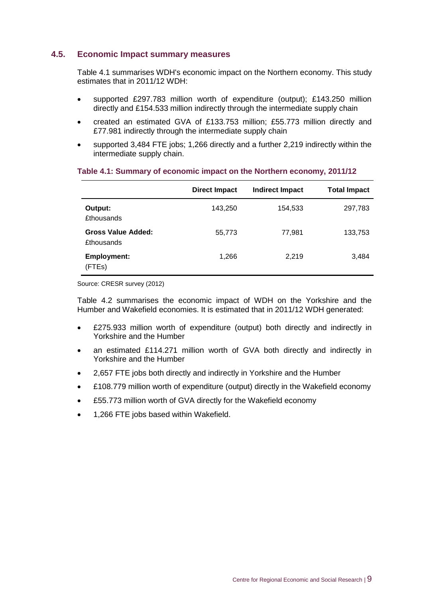## **4.5. Economic Impact summary measures**

Table 4.1 summarises WDH's economic impact on the Northern economy. This study estimates that in 2011/12 WDH:

- supported £297.783 million worth of expenditure (output); £143.250 million directly and £154.533 million indirectly through the intermediate supply chain
- created an estimated GVA of £133.753 million; £55.773 million directly and £77.981 indirectly through the intermediate supply chain
- supported 3,484 FTE jobs; 1,266 directly and a further 2,219 indirectly within the intermediate supply chain.

|                                                | <b>Direct Impact</b> | <b>Indirect Impact</b> | <b>Total Impact</b> |
|------------------------------------------------|----------------------|------------------------|---------------------|
| Output:<br><b>£thousands</b>                   | 143,250              | 154,533                | 297,783             |
| <b>Gross Value Added:</b><br><b>£thousands</b> | 55,773               | 77,981                 | 133,753             |
| <b>Employment:</b><br>(FTEs)                   | 1,266                | 2,219                  | 3,484               |

### **Table 4.1: Summary of economic impact on the Northern economy, 2011/12**

Source: CRESR survey (2012)

Table 4.2 summarises the economic impact of WDH on the Yorkshire and the Humber and Wakefield economies. It is estimated that in 2011/12 WDH generated:

- £275.933 million worth of expenditure (output) both directly and indirectly in Yorkshire and the Humber
- an estimated £114.271 million worth of GVA both directly and indirectly in Yorkshire and the Humber
- 2,657 FTE jobs both directly and indirectly in Yorkshire and the Humber
- £108.779 million worth of expenditure (output) directly in the Wakefield economy
- £55.773 million worth of GVA directly for the Wakefield economy
- 1,266 FTE jobs based within Wakefield.